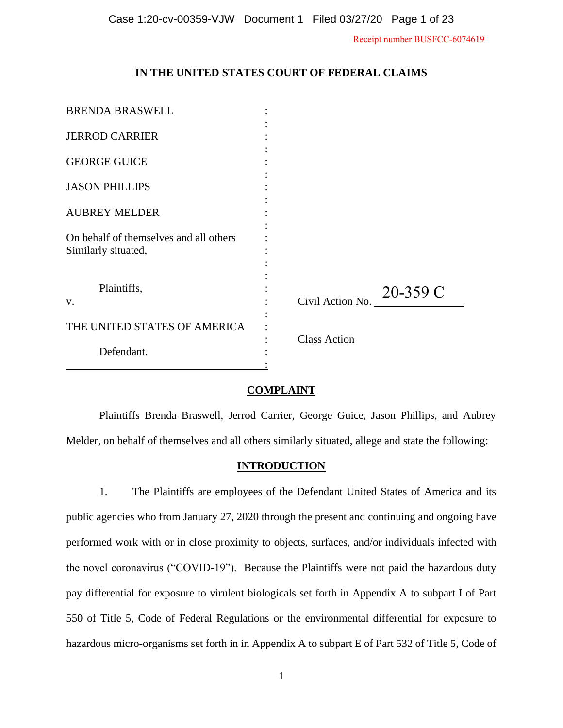Receipt number BUSFCC-6074619

# **IN THE UNITED STATES COURT OF FEDERAL CLAIMS**

| <b>BRENDA BRASWELL</b>                                        |                             |
|---------------------------------------------------------------|-----------------------------|
| <b>JERROD CARRIER</b>                                         |                             |
| <b>GEORGE GUICE</b>                                           |                             |
| <b>JASON PHILLIPS</b>                                         |                             |
| <b>AUBREY MELDER</b>                                          |                             |
| On behalf of themselves and all others<br>Similarly situated, |                             |
| Plaintiffs,<br>V.                                             | Civil Action No. $20-359$ C |
| THE UNITED STATES OF AMERICA                                  |                             |
| Defendant.                                                    | <b>Class Action</b>         |

## **COMPLAINT**

Plaintiffs Brenda Braswell, Jerrod Carrier, George Guice, Jason Phillips, and Aubrey Melder, on behalf of themselves and all others similarly situated, allege and state the following:

## **INTRODUCTION**

1. The Plaintiffs are employees of the Defendant United States of America and its public agencies who from January 27, 2020 through the present and continuing and ongoing have performed work with or in close proximity to objects, surfaces, and/or individuals infected with the novel coronavirus ("COVID-19"). Because the Plaintiffs were not paid the hazardous duty pay differential for exposure to virulent biologicals set forth in Appendix A to subpart I of Part 550 of Title 5, Code of Federal Regulations or the environmental differential for exposure to hazardous micro-organisms set forth in in Appendix A to subpart E of Part 532 of Title 5, Code of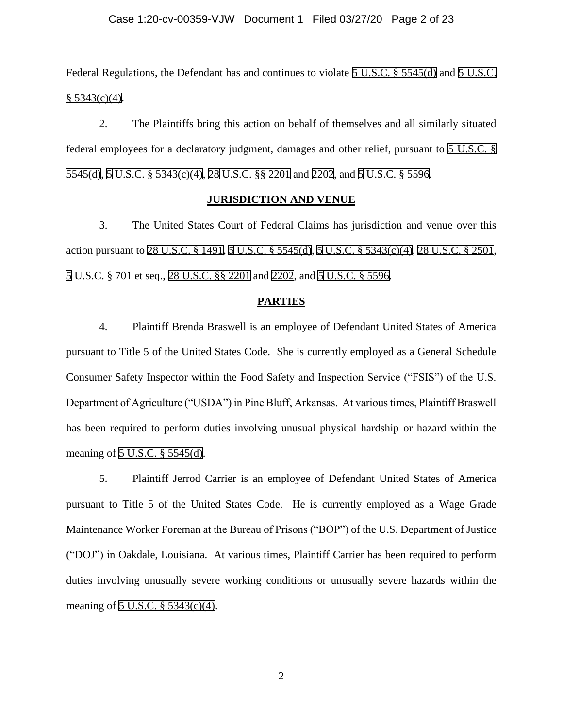## Case 1:20-cv-00359-VJW Document 1 Filed 03/27/20 Page 2 of 23

Federal Regulations, the Defendant has and continues to violate [5 U.S.C. § 5545\(d\)](https://www.westlaw.com/Link/Document/FullText?rs=USCLink&vr=3.0&findType=Y&cite=5%2Bu%2Es%2Ec%2E%2B%2B5545&clientid=USCourts) and [5](https://www.westlaw.com/Link/Document/FullText?rs=USCLink&vr=3.0&findType=Y&cite=5%2Bu%2Es%2Ec%2E%2B5&clientid=USCourts) [U.S.C.](https://www.westlaw.com/Link/Document/FullText?rs=USCLink&vr=3.0&findType=Y&cite=5%2Bu%2Es%2Ec%2E%2B5343&clientid=USCourts)  $§ 5343(c)(4).$  $§ 5343(c)(4).$ 

2. The Plaintiffs bring this action on behalf of themselves and all similarly situated federal employees for a declaratory judgment, damages and other relief, pursuant to [5 U.S.C. §](https://www.westlaw.com/Link/Document/FullText?rs=USCLink&vr=3.0&findType=Y&cite=5%2Bu%2Es%2Ec%2E%2B%2B%2B5545&clientid=USCourts)  [5545\(d\),](https://www.westlaw.com/Link/Document/FullText?rs=USCLink&vr=3.0&findType=Y&cite=5%2Bu%2Es%2Ec%2E%2B%2B%2B5545&clientid=USCourts) [5](https://www.westlaw.com/Link/Document/FullText?rs=USCLink&vr=3.0&findType=Y&cite=5%2Bu%2Es%2Ec%2E%2B5&clientid=USCourts) [U.S.C. § 5343\(c\)\(4\),](https://www.westlaw.com/Link/Document/FullText?rs=USCLink&vr=3.0&findType=Y&cite=5%2Bu%2Es%2Ec%2E%2B%2B5343&clientid=USCourts) [28](https://www.westlaw.com/Link/Document/FullText?rs=USCLink&vr=3.0&findType=Y&cite=5%2Bu%2Es%2Ec%2E%2B28&clientid=USCourts) [U.S.C. §§ 2201](https://www.westlaw.com/Link/Document/FullText?rs=USCLink&vr=3.0&findType=Y&cite=28%2Bu%2Es%2Ec%2E%2B%2B2201&clientid=USCourts) and [2202](https://www.westlaw.com/Link/Document/FullText?rs=USCLink&vr=3.0&findType=Y&cite=28%2Bu%2Es%2Ec%2E%2B2202&clientid=USCourts), and [5](https://www.westlaw.com/Link/Document/FullText?rs=USCLink&vr=3.0&findType=Y&cite=28%2Bu%2Es%2Ec%2E%2B5&clientid=USCourts) [U.S.C. §](https://www.westlaw.com/Link/Document/FullText?rs=USCLink&vr=3.0&findType=Y&cite=5%2Bu%2Es%2Ec%2E%2B%2B5596&clientid=USCourts) 5596.

### **JURISDICTION AND VENUE**

3. The United States Court of Federal Claims has jurisdiction and venue over this action pursuant to [28 U.S.C. § 1491,](https://www.westlaw.com/Link/Document/FullText?rs=USCLink&vr=3.0&findType=Y&cite=28%2Bu%2Es%2Ec%2E%2B%2B1491&clientid=USCourts) [5](https://www.westlaw.com/Link/Document/FullText?rs=USCLink&vr=3.0&findType=Y&cite=28%2Bu%2Es%2Ec%2E%2B5&clientid=USCourts) [U.S.C. § 5545\(d\)](https://www.westlaw.com/Link/Document/FullText?rs=USCLink&vr=3.0&findType=Y&cite=5%2Bu%2Es%2Ec%2E%2B%2B5545&clientid=USCourts), [5](https://www.westlaw.com/Link/Document/FullText?rs=USCLink&vr=3.0&findType=Y&cite=5%2Bu%2Es%2Ec%2E%2B5&clientid=USCourts) [U.S.C. § 5343\(c\)\(4\),](https://www.westlaw.com/Link/Document/FullText?rs=USCLink&vr=3.0&findType=Y&cite=5%2Bu%2Es%2Ec%2E%2B%2B5343&clientid=USCourts) [28](https://www.westlaw.com/Link/Document/FullText?rs=USCLink&vr=3.0&findType=Y&cite=5%2Bu%2Es%2Ec%2E%2B28&clientid=USCourts) [U.S.C. § 2501](https://www.westlaw.com/Link/Document/FullText?rs=USCLink&vr=3.0&findType=Y&cite=28%2Bu%2Es%2Ec%2E%2B%2B2501&clientid=USCourts), [5](https://www.westlaw.com/Link/Document/FullText?rs=USCLink&vr=3.0&findType=Y&cite=28%2Bu%2Es%2Ec%2E%2B5&clientid=USCourts) U.S.C. § 701 et seq., [28 U.S.C. §§ 2201](https://www.westlaw.com/Link/Document/FullText?rs=USCLink&vr=3.0&findType=Y&cite=28%2Bu%2Es%2Ec%2E%2B%2B2201&clientid=USCourts) and [2202,](https://www.westlaw.com/Link/Document/FullText?rs=USCLink&vr=3.0&findType=Y&cite=28%2Bu%2Es%2Ec%2E%2B2202&clientid=USCourts) and[5 U.S.C. § 5596](https://www.westlaw.com/Link/Document/FullText?rs=USCLink&vr=3.0&findType=Y&cite=5%2Bu%2Es%2Ec%2E%2B%2B5596&clientid=USCourts).

#### **PARTIES**

4. Plaintiff Brenda Braswell is an employee of Defendant United States of America pursuant to Title 5 of the United States Code. She is currently employed as a General Schedule Consumer Safety Inspector within the Food Safety and Inspection Service ("FSIS") of the U.S. Department of Agriculture ("USDA") in Pine Bluff, Arkansas. At various times, Plaintiff Braswell has been required to perform duties involving unusual physical hardship or hazard within the meaning of [5 U.S.C. § 5545\(d\).](https://www.westlaw.com/Link/Document/FullText?rs=USCLink&vr=3.0&findType=Y&cite=5%2Bu%2Es%2Ec%2E%2B%2B5545&clientid=USCourts)

5. Plaintiff Jerrod Carrier is an employee of Defendant United States of America pursuant to Title 5 of the United States Code. He is currently employed as a Wage Grade Maintenance Worker Foreman at the Bureau of Prisons ("BOP") of the U.S. Department of Justice ("DOJ") in Oakdale, Louisiana. At various times, Plaintiff Carrier has been required to perform duties involving unusually severe working conditions or unusually severe hazards within the meaning of [5 U.S.C. § 5343\(c\)\(4\).](https://www.westlaw.com/Link/Document/FullText?rs=USCLink&vr=3.0&findType=Y&cite=5%2Bu%2Es%2Ec%2E%2B%2B5343&clientid=USCourts)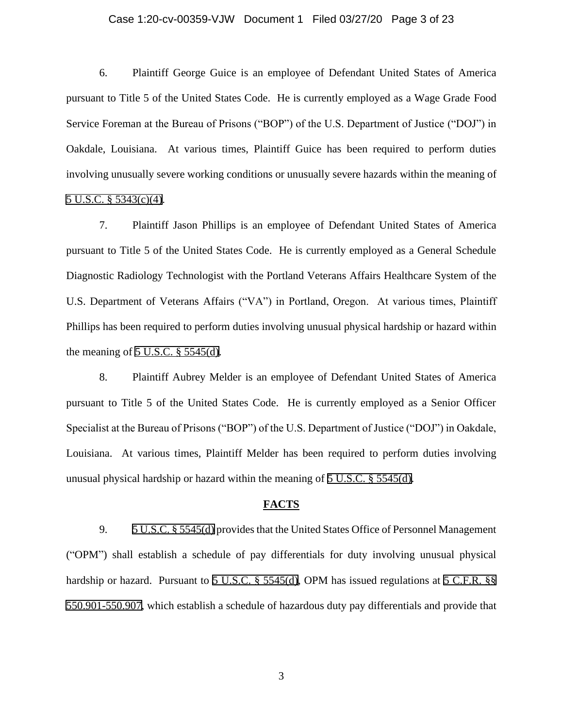## Case 1:20-cv-00359-VJW Document 1 Filed 03/27/20 Page 3 of 23

6. Plaintiff George Guice is an employee of Defendant United States of America pursuant to Title 5 of the United States Code. He is currently employed as a Wage Grade Food Service Foreman at the Bureau of Prisons ("BOP") of the U.S. Department of Justice ("DOJ") in Oakdale, Louisiana. At various times, Plaintiff Guice has been required to perform duties involving unusually severe working conditions or unusually severe hazards within the meaning of [5 U.S.C. § 5343\(c\)\(4\).](https://www.westlaw.com/Link/Document/FullText?rs=USCLink&vr=3.0&findType=Y&cite=5%2Bu%2Es%2Ec%2E%2B%2B5343&clientid=USCourts)

7. Plaintiff Jason Phillips is an employee of Defendant United States of America pursuant to Title 5 of the United States Code. He is currently employed as a General Schedule Diagnostic Radiology Technologist with the Portland Veterans Affairs Healthcare System of the U.S. Department of Veterans Affairs ("VA") in Portland, Oregon. At various times, Plaintiff Phillips has been required to perform duties involving unusual physical hardship or hazard within the meaning of  $5$  U.S.C.  $\S$  5545(d).

8. Plaintiff Aubrey Melder is an employee of Defendant United States of America pursuant to Title 5 of the United States Code. He is currently employed as a Senior Officer Specialist at the Bureau of Prisons ("BOP") of the U.S. Department of Justice ("DOJ") in Oakdale, Louisiana. At various times, Plaintiff Melder has been required to perform duties involving unusual physical hardship or hazard within the meaning of [5 U.S.C. § 5545\(d\).](https://www.westlaw.com/Link/Document/FullText?rs=USCLink&vr=3.0&findType=Y&cite=5%2Bu%2Es%2Ec%2E%2B%2B5545&clientid=USCourts)

#### **FACTS**

9. [5 U.S.C. § 5545\(d\)](https://www.westlaw.com/Link/Document/FullText?rs=USCLink&vr=3.0&findType=Y&cite=5%2Bu%2Es%2Ec%2E%2B%2B5545&clientid=USCourts) provides that the United States Office of Personnel Management ("OPM") shall establish a schedule of pay differentials for duty involving unusual physical hardship or hazard. Pursuant to [5 U.S.C. § 5545\(d\)](https://www.westlaw.com/Link/Document/FullText?rs=USCLink&vr=3.0&findType=Y&cite=5%2Bu%2Es%2Ec%2E%2B%2B5545&clientid=USCourts), OPM has issued regulations at [5 C.F.R. §§](https://www.westlaw.com/Link/Document/FullText?rs=USCLink&vr=3.0&findType=Y&cite=5%2Bc%2Ef%2Er%2E%2B%2B%2B550%2E901-550%2E907&clientid=USCourts) [550.901-550.907,](https://www.westlaw.com/Link/Document/FullText?rs=USCLink&vr=3.0&findType=Y&cite=5%2Bc%2Ef%2Er%2E%2B%2B%2B550%2E901-550%2E907&clientid=USCourts) which establish a schedule of hazardous duty pay differentials and provide that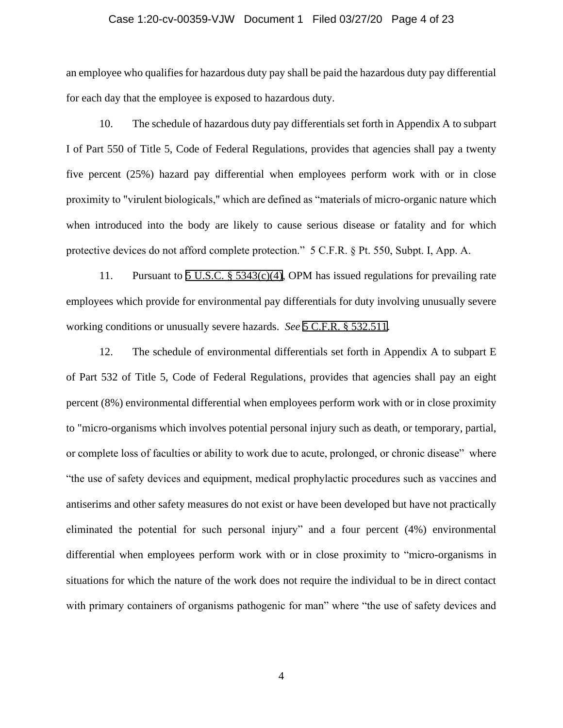# Case 1:20-cv-00359-VJW Document 1 Filed 03/27/20 Page 4 of 23

an employee who qualifies for hazardous duty pay shall be paid the hazardous duty pay differential for each day that the employee is exposed to hazardous duty.

10. The schedule of hazardous duty pay differentials set forth in Appendix A to subpart I of Part 550 of Title 5, Code of Federal Regulations, provides that agencies shall pay a twenty five percent (25%) hazard pay differential when employees perform work with or in close proximity to "virulent biologicals," which are defined as "materials of micro-organic nature which when introduced into the body are likely to cause serious disease or fatality and for which protective devices do not afford complete protection." 5 C.F.R. § Pt. 550, Subpt. I, App. A.

11. Pursuant to [5 U.S.C. § 5343\(c\)\(4\),](https://www.westlaw.com/Link/Document/FullText?rs=USCLink&vr=3.0&findType=Y&cite=5%2Bu%2Es%2Ec%2E%2B%2B5343&clientid=USCourts) OPM has issued regulations for prevailing rate employees which provide for environmental pay differentials for duty involving unusually severe working conditions or unusually severe hazards. *See* [5 C.F.R. § 532.511](https://www.westlaw.com/Link/Document/FullText?rs=USCLink&vr=3.0&findType=Y&cite=5%2Bc%2Ef%2Er%2E%2B%2B532%2E511&clientid=USCourts).

12. The schedule of environmental differentials set forth in Appendix A to subpart E of Part 532 of Title 5, Code of Federal Regulations, provides that agencies shall pay an eight percent (8%) environmental differential when employees perform work with or in close proximity to "micro-organisms which involves potential personal injury such as death, or temporary, partial, or complete loss of faculties or ability to work due to acute, prolonged, or chronic disease" where "the use of safety devices and equipment, medical prophylactic procedures such as vaccines and antiserims and other safety measures do not exist or have been developed but have not practically eliminated the potential for such personal injury" and a four percent (4%) environmental differential when employees perform work with or in close proximity to "micro-organisms in situations for which the nature of the work does not require the individual to be in direct contact with primary containers of organisms pathogenic for man" where "the use of safety devices and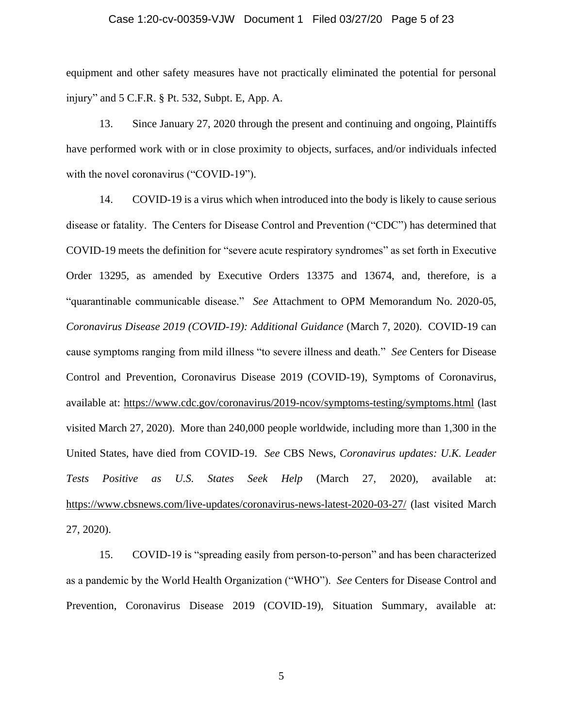# Case 1:20-cv-00359-VJW Document 1 Filed 03/27/20 Page 5 of 23

equipment and other safety measures have not practically eliminated the potential for personal injury" and 5 C.F.R. § Pt. 532, Subpt. E, App. A.

13. Since January 27, 2020 through the present and continuing and ongoing, Plaintiffs have performed work with or in close proximity to objects, surfaces, and/or individuals infected with the novel coronavirus ("COVID-19").

14. COVID-19 is a virus which when introduced into the body is likely to cause serious disease or fatality. The Centers for Disease Control and Prevention ("CDC") has determined that COVID-19 meets the definition for "severe acute respiratory syndromes" as set forth in Executive Order 13295, as amended by Executive Orders 13375 and 13674, and, therefore, is a "quarantinable communicable disease." *See* Attachment to OPM Memorandum No. 2020-05, *Coronavirus Disease 2019 (COVID-19): Additional Guidance* (March 7, 2020). COVID-19 can cause symptoms ranging from mild illness "to severe illness and death." *See* Centers for Disease Control and Prevention, Coronavirus Disease 2019 (COVID-19), Symptoms of Coronavirus, available at:<https://www.cdc.gov/coronavirus/2019-ncov/symptoms-testing/symptoms.html> (last visited March 27, 2020). More than 240,000 people worldwide, including more than 1,300 in the United States, have died from COVID-19. *See* CBS News, *Coronavirus updates: U.K. Leader Tests Positive as U.S. States Seek Help* (March 27, 2020), available at: <https://www.cbsnews.com/live-updates/coronavirus-news-latest-2020-03-27/> (last visited March 27, 2020).

15. COVID-19 is "spreading easily from person-to-person" and has been characterized as a pandemic by the World Health Organization ("WHO"). *See* Centers for Disease Control and Prevention, Coronavirus Disease 2019 (COVID-19), Situation Summary, available at: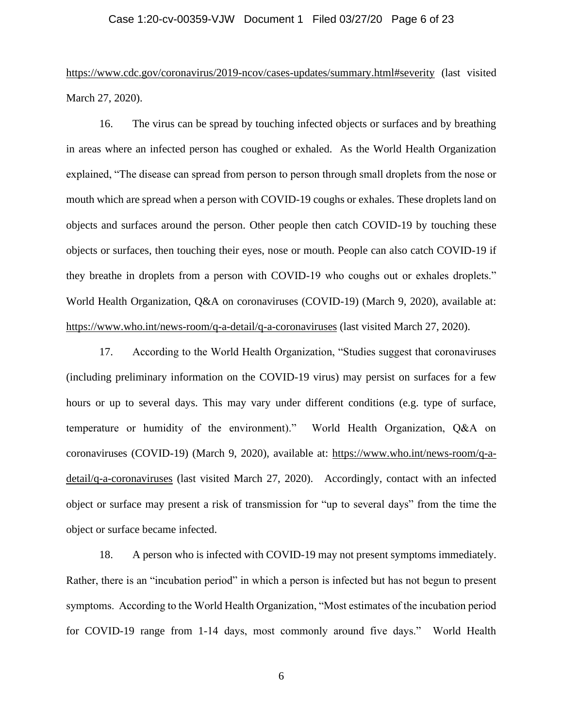## Case 1:20-cv-00359-VJW Document 1 Filed 03/27/20 Page 6 of 23

<https://www.cdc.gov/coronavirus/2019-ncov/cases-updates/summary.html#severity> (last visited March 27, 2020).

16. The virus can be spread by touching infected objects or surfaces and by breathing in areas where an infected person has coughed or exhaled. As the World Health Organization explained, "The disease can spread from person to person through small droplets from the nose or mouth which are spread when a person with COVID-19 coughs or exhales. These droplets land on objects and surfaces around the person. Other people then catch COVID-19 by touching these objects or surfaces, then touching their eyes, nose or mouth. People can also catch COVID-19 if they breathe in droplets from a person with COVID-19 who coughs out or exhales droplets." World Health Organization, Q&A on coronaviruses (COVID-19) (March 9, 2020), available at: <https://www.who.int/news-room/q-a-detail/q-a-coronaviruses> (last visited March 27, 2020).

17. According to the World Health Organization, "Studies suggest that coronaviruses (including preliminary information on the COVID-19 virus) may persist on surfaces for a few hours or up to several days. This may vary under different conditions (e.g. type of surface, temperature or humidity of the environment)." World Health Organization, Q&A on coronaviruses (COVID-19) (March 9, 2020), available at: [https://www.who.int/news-room/q-a](https://www.who.int/news-room/q-a-detail/q-a-coronaviruses)[detail/q-a-coronaviruses](https://www.who.int/news-room/q-a-detail/q-a-coronaviruses) (last visited March 27, 2020). Accordingly, contact with an infected object or surface may present a risk of transmission for "up to several days" from the time the object or surface became infected.

18. A person who is infected with COVID-19 may not present symptoms immediately. Rather, there is an "incubation period" in which a person is infected but has not begun to present symptoms. According to the World Health Organization, "Most estimates of the incubation period for COVID-19 range from 1-14 days, most commonly around five days." World Health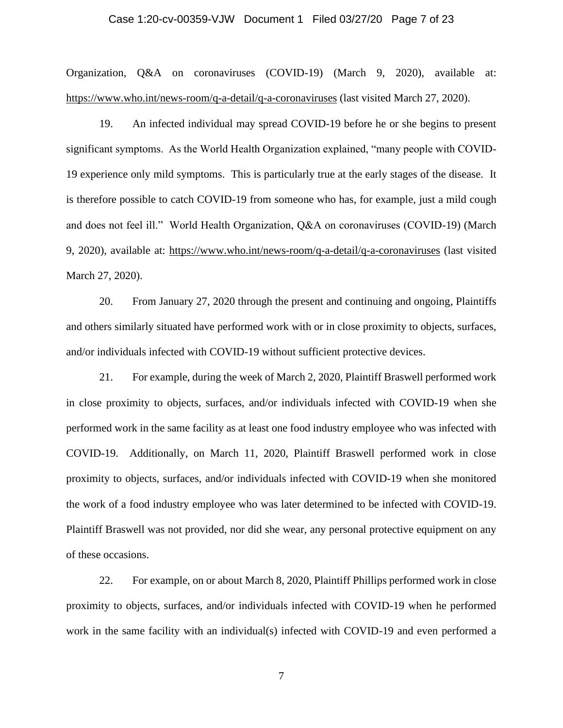# Case 1:20-cv-00359-VJW Document 1 Filed 03/27/20 Page 7 of 23

Organization, Q&A on coronaviruses (COVID-19) (March 9, 2020), available at: <https://www.who.int/news-room/q-a-detail/q-a-coronaviruses> (last visited March 27, 2020).

19. An infected individual may spread COVID-19 before he or she begins to present significant symptoms. As the World Health Organization explained, "many people with COVID-19 experience only mild symptoms. This is particularly true at the early stages of the disease. It is therefore possible to catch COVID-19 from someone who has, for example, just a mild cough and does not feel ill." World Health Organization, Q&A on coronaviruses (COVID-19) (March 9, 2020), available at:<https://www.who.int/news-room/q-a-detail/q-a-coronaviruses> (last visited March 27, 2020).

20. From January 27, 2020 through the present and continuing and ongoing, Plaintiffs and others similarly situated have performed work with or in close proximity to objects, surfaces, and/or individuals infected with COVID-19 without sufficient protective devices.

21. For example, during the week of March 2, 2020, Plaintiff Braswell performed work in close proximity to objects, surfaces, and/or individuals infected with COVID-19 when she performed work in the same facility as at least one food industry employee who was infected with COVID-19. Additionally, on March 11, 2020, Plaintiff Braswell performed work in close proximity to objects, surfaces, and/or individuals infected with COVID-19 when she monitored the work of a food industry employee who was later determined to be infected with COVID-19. Plaintiff Braswell was not provided, nor did she wear, any personal protective equipment on any of these occasions.

22. For example, on or about March 8, 2020, Plaintiff Phillips performed work in close proximity to objects, surfaces, and/or individuals infected with COVID-19 when he performed work in the same facility with an individual(s) infected with COVID-19 and even performed a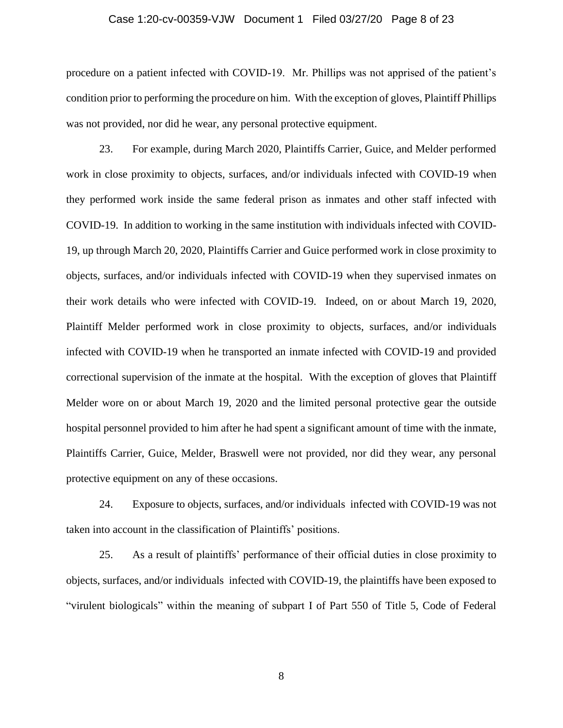## Case 1:20-cv-00359-VJW Document 1 Filed 03/27/20 Page 8 of 23

procedure on a patient infected with COVID-19. Mr. Phillips was not apprised of the patient's condition prior to performing the procedure on him. With the exception of gloves, Plaintiff Phillips was not provided, nor did he wear, any personal protective equipment.

23. For example, during March 2020, Plaintiffs Carrier, Guice, and Melder performed work in close proximity to objects, surfaces, and/or individuals infected with COVID-19 when they performed work inside the same federal prison as inmates and other staff infected with COVID-19. In addition to working in the same institution with individuals infected with COVID-19, up through March 20, 2020, Plaintiffs Carrier and Guice performed work in close proximity to objects, surfaces, and/or individuals infected with COVID-19 when they supervised inmates on their work details who were infected with COVID-19. Indeed, on or about March 19, 2020, Plaintiff Melder performed work in close proximity to objects, surfaces, and/or individuals infected with COVID-19 when he transported an inmate infected with COVID-19 and provided correctional supervision of the inmate at the hospital. With the exception of gloves that Plaintiff Melder wore on or about March 19, 2020 and the limited personal protective gear the outside hospital personnel provided to him after he had spent a significant amount of time with the inmate, Plaintiffs Carrier, Guice, Melder, Braswell were not provided, nor did they wear, any personal protective equipment on any of these occasions.

24. Exposure to objects, surfaces, and/or individuals infected with COVID-19 was not taken into account in the classification of Plaintiffs' positions.

25. As a result of plaintiffs' performance of their official duties in close proximity to objects, surfaces, and/or individuals infected with COVID-19, the plaintiffs have been exposed to "virulent biologicals" within the meaning of subpart I of Part 550 of Title 5, Code of Federal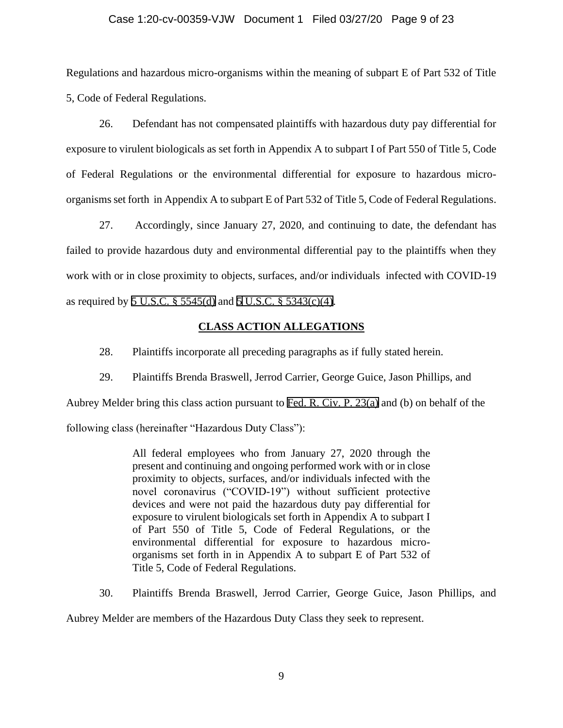## Case 1:20-cv-00359-VJW Document 1 Filed 03/27/20 Page 9 of 23

Regulations and hazardous micro-organisms within the meaning of subpart E of Part 532 of Title 5, Code of Federal Regulations.

26. Defendant has not compensated plaintiffs with hazardous duty pay differential for exposure to virulent biologicals as set forth in Appendix A to subpart I of Part 550 of Title 5, Code of Federal Regulations or the environmental differential for exposure to hazardous microorganisms set forth in Appendix A to subpart E of Part 532 of Title 5, Code of Federal Regulations.

27. Accordingly, since January 27, 2020, and continuing to date, the defendant has failed to provide hazardous duty and environmental differential pay to the plaintiffs when they work with or in close proximity to objects, surfaces, and/or individuals infected with COVID-19 as required by [5 U.S.C. § 5545\(d\)](https://www.westlaw.com/Link/Document/FullText?rs=USCLink&vr=3.0&findType=Y&cite=5%2Bu%2Es%2Ec%2E%2B%2B5545&clientid=USCourts) and [5](https://www.westlaw.com/Link/Document/FullText?rs=USCLink&vr=3.0&findType=Y&cite=5%2Bu%2Es%2Ec%2E%2B5&clientid=USCourts) [U.S.C. § 5343\(c\)\(4\)](https://www.westlaw.com/Link/Document/FullText?rs=USCLink&vr=3.0&findType=Y&cite=5%2Bu%2Es%2Ec%2E%2B%2B5343&clientid=USCourts).

## **CLASS ACTION ALLEGATIONS**

28. Plaintiffs incorporate all preceding paragraphs as if fully stated herein.

29. Plaintiffs Brenda Braswell, Jerrod Carrier, George Guice, Jason Phillips, and

Aubrey Melder bring this class action pursuant to [Fed. R. Civ. P. 23\(a\)](https://www.westlaw.com/Link/Document/FullText?rs=USCLink&vr=3.0&findType=Y&cite=FRCP+23%28a%29&clientid=USCourts) and (b) on behalf of the

following class (hereinafter "Hazardous Duty Class"):

All federal employees who from January 27, 2020 through the present and continuing and ongoing performed work with or in close proximity to objects, surfaces, and/or individuals infected with the novel coronavirus ("COVID-19") without sufficient protective devices and were not paid the hazardous duty pay differential for exposure to virulent biologicals set forth in Appendix A to subpart I of Part 550 of Title 5, Code of Federal Regulations, or the environmental differential for exposure to hazardous microorganisms set forth in in Appendix A to subpart E of Part 532 of Title 5, Code of Federal Regulations.

30. Plaintiffs Brenda Braswell, Jerrod Carrier, George Guice, Jason Phillips, and Aubrey Melder are members of the Hazardous Duty Class they seek to represent.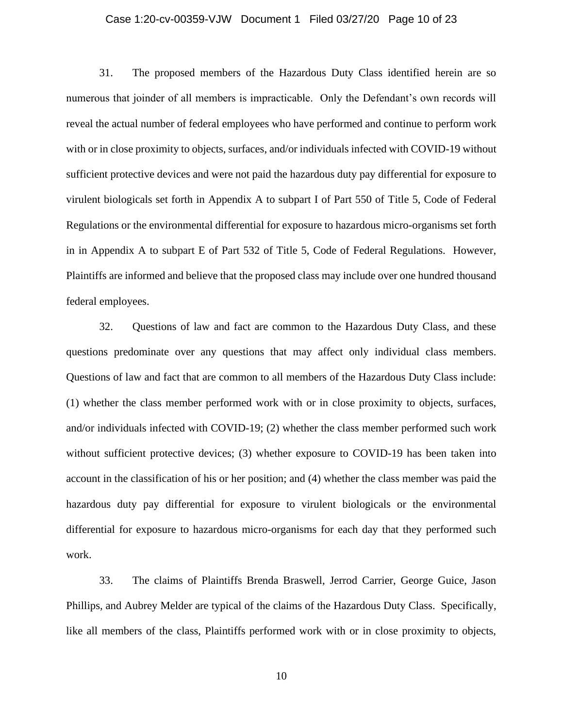### Case 1:20-cv-00359-VJW Document 1 Filed 03/27/20 Page 10 of 23

31. The proposed members of the Hazardous Duty Class identified herein are so numerous that joinder of all members is impracticable. Only the Defendant's own records will reveal the actual number of federal employees who have performed and continue to perform work with or in close proximity to objects, surfaces, and/or individuals infected with COVID-19 without sufficient protective devices and were not paid the hazardous duty pay differential for exposure to virulent biologicals set forth in Appendix A to subpart I of Part 550 of Title 5, Code of Federal Regulations or the environmental differential for exposure to hazardous micro-organisms set forth in in Appendix A to subpart E of Part 532 of Title 5, Code of Federal Regulations. However, Plaintiffs are informed and believe that the proposed class may include over one hundred thousand federal employees.

32. Questions of law and fact are common to the Hazardous Duty Class, and these questions predominate over any questions that may affect only individual class members. Questions of law and fact that are common to all members of the Hazardous Duty Class include: (1) whether the class member performed work with or in close proximity to objects, surfaces, and/or individuals infected with COVID-19; (2) whether the class member performed such work without sufficient protective devices; (3) whether exposure to COVID-19 has been taken into account in the classification of his or her position; and (4) whether the class member was paid the hazardous duty pay differential for exposure to virulent biologicals or the environmental differential for exposure to hazardous micro-organisms for each day that they performed such work.

33. The claims of Plaintiffs Brenda Braswell, Jerrod Carrier, George Guice, Jason Phillips, and Aubrey Melder are typical of the claims of the Hazardous Duty Class. Specifically, like all members of the class, Plaintiffs performed work with or in close proximity to objects,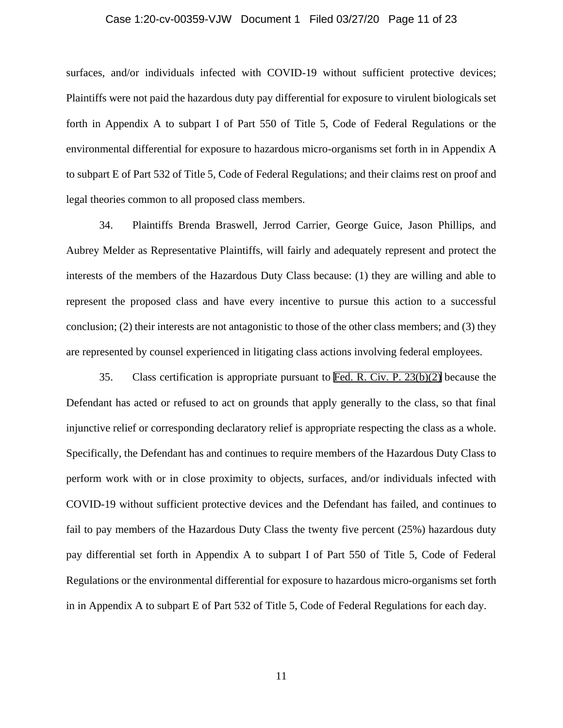### Case 1:20-cv-00359-VJW Document 1 Filed 03/27/20 Page 11 of 23

surfaces, and/or individuals infected with COVID-19 without sufficient protective devices; Plaintiffs were not paid the hazardous duty pay differential for exposure to virulent biologicals set forth in Appendix A to subpart I of Part 550 of Title 5, Code of Federal Regulations or the environmental differential for exposure to hazardous micro-organisms set forth in in Appendix A to subpart E of Part 532 of Title 5, Code of Federal Regulations; and their claims rest on proof and legal theories common to all proposed class members.

34. Plaintiffs Brenda Braswell, Jerrod Carrier, George Guice, Jason Phillips, and Aubrey Melder as Representative Plaintiffs, will fairly and adequately represent and protect the interests of the members of the Hazardous Duty Class because: (1) they are willing and able to represent the proposed class and have every incentive to pursue this action to a successful conclusion; (2) their interests are not antagonistic to those of the other class members; and (3) they are represented by counsel experienced in litigating class actions involving federal employees.

35. Class certification is appropriate pursuant to [Fed. R. Civ. P. 23\(b\)\(2\)](https://www.westlaw.com/Link/Document/FullText?rs=USCLink&vr=3.0&findType=Y&cite=FRCP+23%28b%29%282%29&clientid=USCourts) because the Defendant has acted or refused to act on grounds that apply generally to the class, so that final injunctive relief or corresponding declaratory relief is appropriate respecting the class as a whole. Specifically, the Defendant has and continues to require members of the Hazardous Duty Class to perform work with or in close proximity to objects, surfaces, and/or individuals infected with COVID-19 without sufficient protective devices and the Defendant has failed, and continues to fail to pay members of the Hazardous Duty Class the twenty five percent (25%) hazardous duty pay differential set forth in Appendix A to subpart I of Part 550 of Title 5, Code of Federal Regulations or the environmental differential for exposure to hazardous micro-organisms set forth in in Appendix A to subpart E of Part 532 of Title 5, Code of Federal Regulations for each day.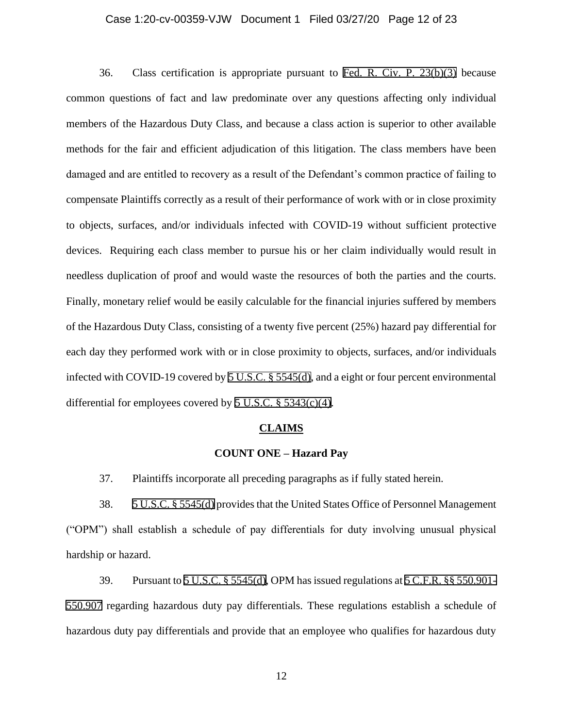### Case 1:20-cv-00359-VJW Document 1 Filed 03/27/20 Page 12 of 23

36. Class certification is appropriate pursuant to [Fed. R. Civ. P. 23\(b\)\(3\)](https://www.westlaw.com/Link/Document/FullText?rs=USCLink&vr=3.0&findType=Y&cite=FRCP+23%28b%29%283%29&clientid=USCourts) because common questions of fact and law predominate over any questions affecting only individual members of the Hazardous Duty Class, and because a class action is superior to other available methods for the fair and efficient adjudication of this litigation. The class members have been damaged and are entitled to recovery as a result of the Defendant's common practice of failing to compensate Plaintiffs correctly as a result of their performance of work with or in close proximity to objects, surfaces, and/or individuals infected with COVID-19 without sufficient protective devices. Requiring each class member to pursue his or her claim individually would result in needless duplication of proof and would waste the resources of both the parties and the courts. Finally, monetary relief would be easily calculable for the financial injuries suffered by members of the Hazardous Duty Class, consisting of a twenty five percent (25%) hazard pay differential for each day they performed work with or in close proximity to objects, surfaces, and/or individuals infected with COVID-19 covered by [5 U.S.C. § 5545\(d\)](https://www.westlaw.com/Link/Document/FullText?rs=USCLink&vr=3.0&findType=Y&cite=5%2Bu%2Es%2Ec%2E%2B%2B5545&clientid=USCourts), and a eight or four percent environmental differential for employees covered by 5 U.S.C.  $\S$  5343(c)(4).

#### **CLAIMS**

#### **COUNT ONE – Hazard Pay**

37. Plaintiffs incorporate all preceding paragraphs as if fully stated herein.

38. [5 U.S.C. § 5545\(d\)](https://www.westlaw.com/Link/Document/FullText?rs=USCLink&vr=3.0&findType=Y&cite=5%2Bu%2Es%2Ec%2E%2B%2B5545&clientid=USCourts) provides that the United States Office of Personnel Management ("OPM") shall establish a schedule of pay differentials for duty involving unusual physical hardship or hazard.

39. Pursuant to [5 U.S.C. § 5545\(d\)](https://www.westlaw.com/Link/Document/FullText?rs=USCLink&vr=3.0&findType=Y&cite=5%2Bu%2Es%2Ec%2E%2B%2B5545&clientid=USCourts), OPM has issued regulations at [5 C.F.R. §§ 550.901-](https://www.westlaw.com/Link/Document/FullText?rs=USCLink&vr=3.0&findType=Y&cite=5%2Bc%2Ef%2Er%2E%2B%2B550%2E901-%2B%2B550%2E907&clientid=USCourts) [550.907](https://www.westlaw.com/Link/Document/FullText?rs=USCLink&vr=3.0&findType=Y&cite=5%2Bc%2Ef%2Er%2E%2B%2B550%2E901-%2B%2B550%2E907&clientid=USCourts) regarding hazardous duty pay differentials. These regulations establish a schedule of hazardous duty pay differentials and provide that an employee who qualifies for hazardous duty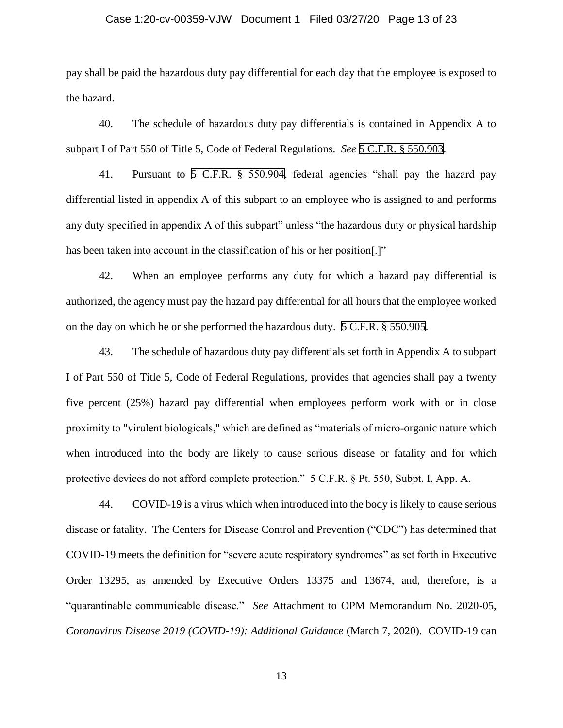### Case 1:20-cv-00359-VJW Document 1 Filed 03/27/20 Page 13 of 23

pay shall be paid the hazardous duty pay differential for each day that the employee is exposed to the hazard.

40. The schedule of hazardous duty pay differentials is contained in Appendix A to subpart I of Part 550 of Title 5, Code of Federal Regulations. *See* [5 C.F.R. § 550.903](https://www.westlaw.com/Link/Document/FullText?rs=USCLink&vr=3.0&findType=Y&cite=5%2Bc%2Ef%2Er%2E%2B%2B550%2E903&clientid=USCourts).

41. Pursuant to [5 C.F.R. §](https://www.westlaw.com/Link/Document/FullText?rs=USCLink&vr=3.0&findType=Y&cite=5%2Bc%2Ef%2Er%2E%2B%2B550%2E904&clientid=USCourts) 550.904, federal agencies "shall pay the hazard pay differential listed in appendix A of this subpart to an employee who is assigned to and performs any duty specified in appendix A of this subpart" unless "the hazardous duty or physical hardship has been taken into account in the classification of his or her position.]"

42. When an employee performs any duty for which a hazard pay differential is authorized, the agency must pay the hazard pay differential for all hours that the employee worked on the day on which he or she performed the hazardous duty. [5 C.F.R. § 550.905](https://www.westlaw.com/Link/Document/FullText?rs=USCLink&vr=3.0&findType=Y&cite=5%2Bc%2Ef%2Er%2E%2B%2B550%2E905&clientid=USCourts).

43. The schedule of hazardous duty pay differentials set forth in Appendix A to subpart I of Part 550 of Title 5, Code of Federal Regulations, provides that agencies shall pay a twenty five percent (25%) hazard pay differential when employees perform work with or in close proximity to "virulent biologicals," which are defined as "materials of micro-organic nature which when introduced into the body are likely to cause serious disease or fatality and for which protective devices do not afford complete protection." 5 C.F.R. § Pt. 550, Subpt. I, App. A.

44. COVID-19 is a virus which when introduced into the body is likely to cause serious disease or fatality. The Centers for Disease Control and Prevention ("CDC") has determined that COVID-19 meets the definition for "severe acute respiratory syndromes" as set forth in Executive Order 13295, as amended by Executive Orders 13375 and 13674, and, therefore, is a "quarantinable communicable disease." *See* Attachment to OPM Memorandum No. 2020-05, *Coronavirus Disease 2019 (COVID-19): Additional Guidance* (March 7, 2020). COVID-19 can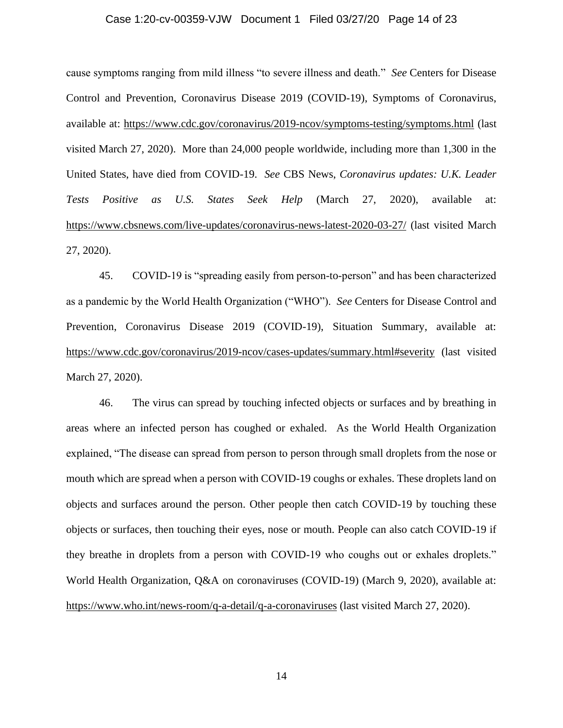### Case 1:20-cv-00359-VJW Document 1 Filed 03/27/20 Page 14 of 23

cause symptoms ranging from mild illness "to severe illness and death." *See* Centers for Disease Control and Prevention, Coronavirus Disease 2019 (COVID-19), Symptoms of Coronavirus, available at:<https://www.cdc.gov/coronavirus/2019-ncov/symptoms-testing/symptoms.html> (last visited March 27, 2020). More than 24,000 people worldwide, including more than 1,300 in the United States, have died from COVID-19. *See* CBS News, *Coronavirus updates: U.K. Leader Tests Positive as U.S. States Seek Help* (March 27, 2020), available at: https://www.cbsnews.com/live-updates/coronavirus-news-latest-2020-03-27/ (last visited March 27, 2020).

45. COVID-19 is "spreading easily from person-to-person" and has been characterized as a pandemic by the World Health Organization ("WHO"). *See* Centers for Disease Control and Prevention, Coronavirus Disease 2019 (COVID-19), Situation Summary, available at: <https://www.cdc.gov/coronavirus/2019-ncov/cases-updates/summary.html#severity> (last visited March 27, 2020).

46. The virus can spread by touching infected objects or surfaces and by breathing in areas where an infected person has coughed or exhaled. As the World Health Organization explained, "The disease can spread from person to person through small droplets from the nose or mouth which are spread when a person with COVID-19 coughs or exhales. These droplets land on objects and surfaces around the person. Other people then catch COVID-19 by touching these objects or surfaces, then touching their eyes, nose or mouth. People can also catch COVID-19 if they breathe in droplets from a person with COVID-19 who coughs out or exhales droplets." World Health Organization, Q&A on coronaviruses (COVID-19) (March 9, 2020), available at: <https://www.who.int/news-room/q-a-detail/q-a-coronaviruses> (last visited March 27, 2020).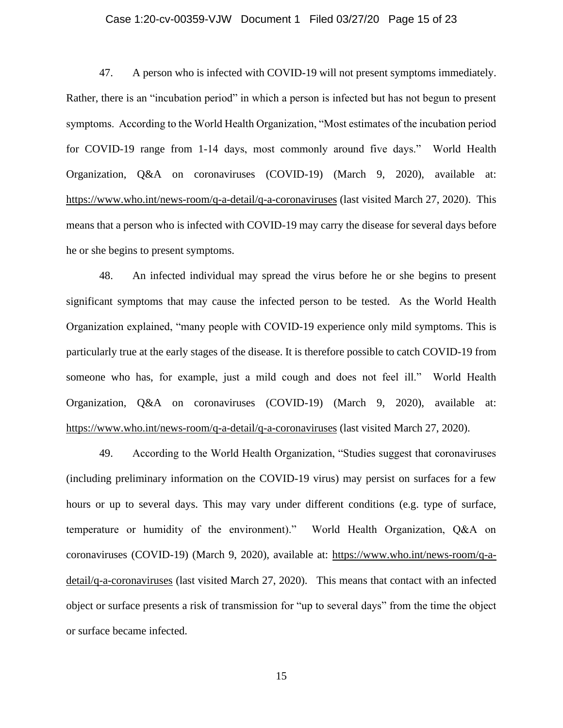### Case 1:20-cv-00359-VJW Document 1 Filed 03/27/20 Page 15 of 23

47. A person who is infected with COVID-19 will not present symptoms immediately. Rather, there is an "incubation period" in which a person is infected but has not begun to present symptoms. According to the World Health Organization, "Most estimates of the incubation period for COVID-19 range from 1-14 days, most commonly around five days." World Health Organization, Q&A on coronaviruses (COVID-19) (March 9, 2020), available at: <https://www.who.int/news-room/q-a-detail/q-a-coronaviruses> (last visited March 27, 2020). This means that a person who is infected with COVID-19 may carry the disease for several days before he or she begins to present symptoms.

48. An infected individual may spread the virus before he or she begins to present significant symptoms that may cause the infected person to be tested. As the World Health Organization explained, "many people with COVID-19 experience only mild symptoms. This is particularly true at the early stages of the disease. It is therefore possible to catch COVID-19 from someone who has, for example, just a mild cough and does not feel ill." World Health Organization, Q&A on coronaviruses (COVID-19) (March 9, 2020), available at: <https://www.who.int/news-room/q-a-detail/q-a-coronaviruses> (last visited March 27, 2020).

49. According to the World Health Organization, "Studies suggest that coronaviruses (including preliminary information on the COVID-19 virus) may persist on surfaces for a few hours or up to several days. This may vary under different conditions (e.g. type of surface, temperature or humidity of the environment)." World Health Organization, Q&A on coronaviruses (COVID-19) (March 9, 2020), available at: [https://www.who.int/news-room/q-a](https://www.who.int/news-room/q-a-detail/q-a-coronaviruses)[detail/q-a-coronaviruses](https://www.who.int/news-room/q-a-detail/q-a-coronaviruses) (last visited March 27, 2020). This means that contact with an infected object or surface presents a risk of transmission for "up to several days" from the time the object or surface became infected.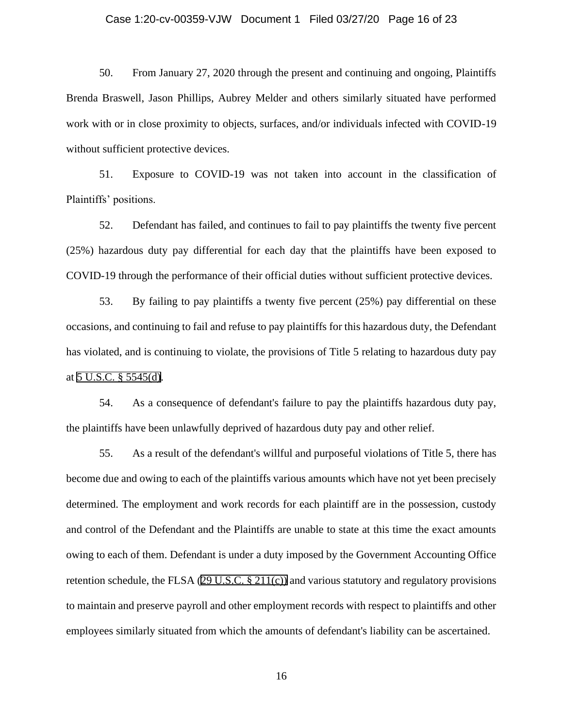### Case 1:20-cv-00359-VJW Document 1 Filed 03/27/20 Page 16 of 23

50. From January 27, 2020 through the present and continuing and ongoing, Plaintiffs Brenda Braswell, Jason Phillips, Aubrey Melder and others similarly situated have performed work with or in close proximity to objects, surfaces, and/or individuals infected with COVID-19 without sufficient protective devices.

51. Exposure to COVID-19 was not taken into account in the classification of Plaintiffs' positions.

52. Defendant has failed, and continues to fail to pay plaintiffs the twenty five percent (25%) hazardous duty pay differential for each day that the plaintiffs have been exposed to COVID-19 through the performance of their official duties without sufficient protective devices.

53. By failing to pay plaintiffs a twenty five percent (25%) pay differential on these occasions, and continuing to fail and refuse to pay plaintiffs for this hazardous duty, the Defendant has violated, and is continuing to violate, the provisions of Title 5 relating to hazardous duty pay at [5 U.S.C. § 5545\(d\).](https://www.westlaw.com/Link/Document/FullText?rs=USCLink&vr=3.0&findType=Y&cite=5%2Bu%2Es%2Ec%2E%2B%2B5545&clientid=USCourts)

54. As a consequence of defendant's failure to pay the plaintiffs hazardous duty pay, the plaintiffs have been unlawfully deprived of hazardous duty pay and other relief.

55. As a result of the defendant's willful and purposeful violations of Title 5, there has become due and owing to each of the plaintiffs various amounts which have not yet been precisely determined. The employment and work records for each plaintiff are in the possession, custody and control of the Defendant and the Plaintiffs are unable to state at this time the exact amounts owing to each of them. Defendant is under a duty imposed by the Government Accounting Office retention schedule, the FLSA (29 U.S.C.  $\S$  211(c)) and various statutory and regulatory provisions to maintain and preserve payroll and other employment records with respect to plaintiffs and other employees similarly situated from which the amounts of defendant's liability can be ascertained.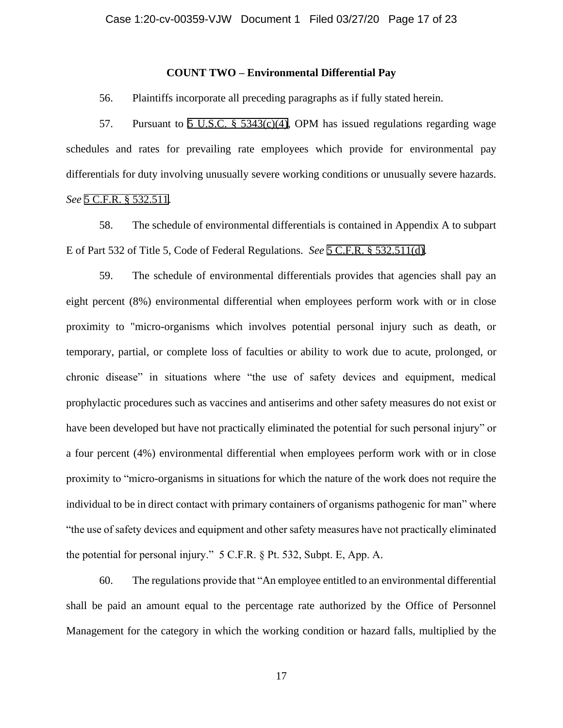### **COUNT TWO – Environmental Differential Pay**

56. Plaintiffs incorporate all preceding paragraphs as if fully stated herein.

57. Pursuant to 5 U.S.C.  $\S$  5343(c)(4), OPM has issued regulations regarding wage schedules and rates for prevailing rate employees which provide for environmental pay differentials for duty involving unusually severe working conditions or unusually severe hazards. *See* [5 C.F.R. § 532.511](https://www.westlaw.com/Link/Document/FullText?rs=USCLink&vr=3.0&findType=Y&cite=5%2Bc%2Ef%2Er%2E%2B%2B532%2E511&clientid=USCourts).

58. The schedule of environmental differentials is contained in Appendix A to subpart E of Part 532 of Title 5, Code of Federal Regulations. *See* [5 C.F.R. § 532.511\(d\)](https://www.westlaw.com/Link/Document/FullText?rs=USCLink&vr=3.0&findType=Y&cite=5%2Bc%2Ef%2Er%2E%2B%2B532%2E511&clientid=USCourts).

59. The schedule of environmental differentials provides that agencies shall pay an eight percent (8%) environmental differential when employees perform work with or in close proximity to "micro-organisms which involves potential personal injury such as death, or temporary, partial, or complete loss of faculties or ability to work due to acute, prolonged, or chronic disease" in situations where "the use of safety devices and equipment, medical prophylactic procedures such as vaccines and antiserims and other safety measures do not exist or have been developed but have not practically eliminated the potential for such personal injury" or a four percent (4%) environmental differential when employees perform work with or in close proximity to "micro-organisms in situations for which the nature of the work does not require the individual to be in direct contact with primary containers of organisms pathogenic for man" where "the use of safety devices and equipment and other safety measures have not practically eliminated the potential for personal injury." 5 C.F.R. § Pt. 532, Subpt. E, App. A.

60. The regulations provide that "An employee entitled to an environmental differential shall be paid an amount equal to the percentage rate authorized by the Office of Personnel Management for the category in which the working condition or hazard falls, multiplied by the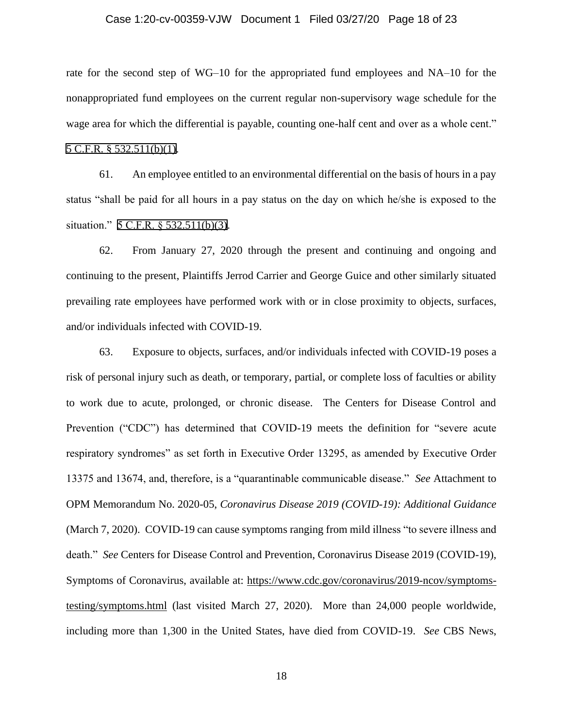### Case 1:20-cv-00359-VJW Document 1 Filed 03/27/20 Page 18 of 23

rate for the second step of WG–10 for the appropriated fund employees and NA–10 for the nonappropriated fund employees on the current regular non-supervisory wage schedule for the wage area for which the differential is payable, counting one-half cent and over as a whole cent." [5 C.F.R. § 532.511\(b\)\(1\).](https://www.westlaw.com/Link/Document/FullText?rs=USCLink&vr=3.0&findType=Y&cite=5%2Bc%2Ef%2Er%2E%2B%2B532%2E511&clientid=USCourts)

61. An employee entitled to an environmental differential on the basis of hours in a pay status "shall be paid for all hours in a pay status on the day on which he/she is exposed to the situation." 5 C.F.R. § [532.511\(b\)\(3\)](https://www.westlaw.com/Link/Document/FullText?rs=USCLink&vr=3.0&findType=Y&cite=5%2Bc%2Ef%2Er%2E%2B%2B532%2E511&clientid=USCourts).

62. From January 27, 2020 through the present and continuing and ongoing and continuing to the present, Plaintiffs Jerrod Carrier and George Guice and other similarly situated prevailing rate employees have performed work with or in close proximity to objects, surfaces, and/or individuals infected with COVID-19.

63. Exposure to objects, surfaces, and/or individuals infected with COVID-19 poses a risk of personal injury such as death, or temporary, partial, or complete loss of faculties or ability to work due to acute, prolonged, or chronic disease. The Centers for Disease Control and Prevention ("CDC") has determined that COVID-19 meets the definition for "severe acute respiratory syndromes" as set forth in Executive Order 13295, as amended by Executive Order 13375 and 13674, and, therefore, is a "quarantinable communicable disease." *See* Attachment to OPM Memorandum No. 2020-05, *Coronavirus Disease 2019 (COVID-19): Additional Guidance*  (March 7, 2020). COVID-19 can cause symptoms ranging from mild illness "to severe illness and death." *See* Centers for Disease Control and Prevention, Coronavirus Disease 2019 (COVID-19), Symptoms of Coronavirus, available at: [https://www.cdc.gov/coronavirus/2019-ncov/symptoms](https://www.cdc.gov/coronavirus/2019-ncov/symptoms-testing/symptoms.html)[testing/symptoms.html](https://www.cdc.gov/coronavirus/2019-ncov/symptoms-testing/symptoms.html) (last visited March 27, 2020). More than 24,000 people worldwide, including more than 1,300 in the United States, have died from COVID-19. *See* CBS News,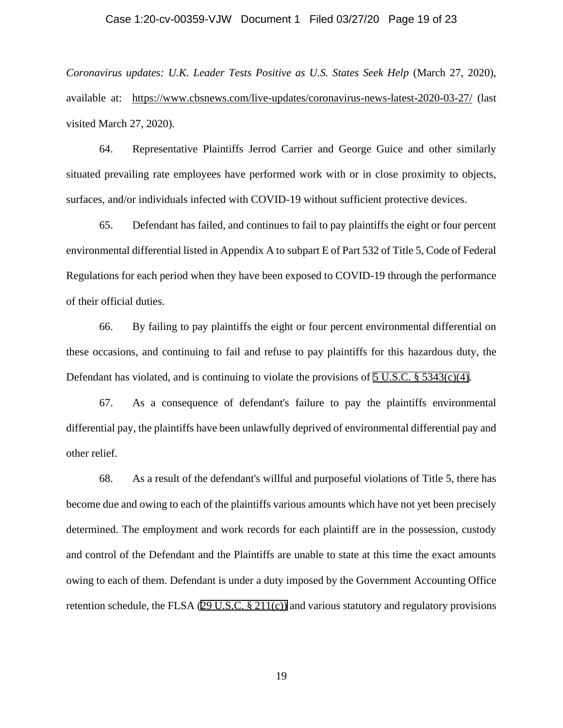### Case 1:20-cv-00359-VJW Document 1 Filed 03/27/20 Page 19 of 23

*Coronavirus updates: U.K. Leader Tests Positive as U.S. States Seek Help* (March 27, 2020), available at: <https://www.cbsnews.com/live-updates/coronavirus-news-latest-2020-03-27/> (last visited March 27, 2020).

64. Representative Plaintiffs Jerrod Carrier and George Guice and other similarly situated prevailing rate employees have performed work with or in close proximity to objects, surfaces, and/or individuals infected with COVID-19 without sufficient protective devices.

65. Defendant has failed, and continues to fail to pay plaintiffs the eight or four percent environmental differential listed in Appendix A to subpart E of Part 532 of Title 5, Code of Federal Regulations for each period when they have been exposed to COVID-19 through the performance of their official duties.

66. By failing to pay plaintiffs the eight or four percent environmental differential on these occasions, and continuing to fail and refuse to pay plaintiffs for this hazardous duty, the Defendant has violated, and is continuing to violate the provisions of 5 U.S.C.  $\S$  5343(c)(4).

67. As a consequence of defendant's failure to pay the plaintiffs environmental differential pay, the plaintiffs have been unlawfully deprived of environmental differential pay and other relief.

68. As a result of the defendant's willful and purposeful violations of Title 5, there has become due and owing to each of the plaintiffs various amounts which have not yet been precisely determined. The employment and work records for each plaintiff are in the possession, custody and control of the Defendant and the Plaintiffs are unable to state at this time the exact amounts owing to each of them. Defendant is under a duty imposed by the Government Accounting Office retention schedule, the FLSA ([29 U.S.C. § 211\(c\)\)](https://www.westlaw.com/Link/Document/FullText?rs=USCLink&vr=3.0&findType=Y&cite=29%2Bu%2Es%2Ec%2E%2B%2B211&clientid=USCourts) and various statutory and regulatory provisions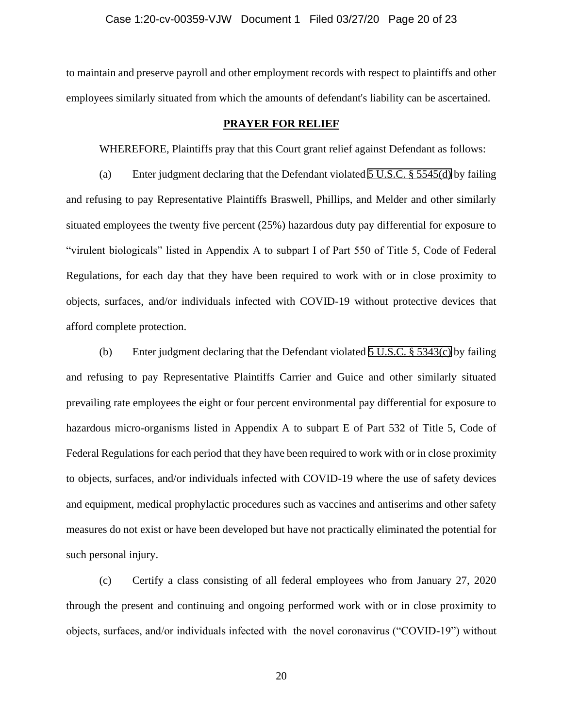to maintain and preserve payroll and other employment records with respect to plaintiffs and other employees similarly situated from which the amounts of defendant's liability can be ascertained.

### **PRAYER FOR RELIEF**

WHEREFORE, Plaintiffs pray that this Court grant relief against Defendant as follows:

(a) Enter judgment declaring that the Defendant violated [5 U.S.C. § 5545\(d\)](https://www.westlaw.com/Link/Document/FullText?rs=USCLink&vr=3.0&findType=Y&cite=5%2Bu%2Es%2Ec%2E%2B%2B5545&clientid=USCourts) by failing and refusing to pay Representative Plaintiffs Braswell, Phillips, and Melder and other similarly situated employees the twenty five percent (25%) hazardous duty pay differential for exposure to "virulent biologicals" listed in Appendix A to subpart I of Part 550 of Title 5, Code of Federal Regulations, for each day that they have been required to work with or in close proximity to objects, surfaces, and/or individuals infected with COVID-19 without protective devices that afford complete protection.

(b) Enter judgment declaring that the Defendant violated [5 U.S.C. § 5343\(c\)](https://www.westlaw.com/Link/Document/FullText?rs=USCLink&vr=3.0&findType=Y&cite=5%2Bu%2Es%2Ec%2E%2B%2B5343&clientid=USCourts) by failing and refusing to pay Representative Plaintiffs Carrier and Guice and other similarly situated prevailing rate employees the eight or four percent environmental pay differential for exposure to hazardous micro-organisms listed in Appendix A to subpart E of Part 532 of Title 5, Code of Federal Regulations for each period that they have been required to work with or in close proximity to objects, surfaces, and/or individuals infected with COVID-19 where the use of safety devices and equipment, medical prophylactic procedures such as vaccines and antiserims and other safety measures do not exist or have been developed but have not practically eliminated the potential for such personal injury.

(c) Certify a class consisting of all federal employees who from January 27, 2020 through the present and continuing and ongoing performed work with or in close proximity to objects, surfaces, and/or individuals infected with the novel coronavirus ("COVID-19") without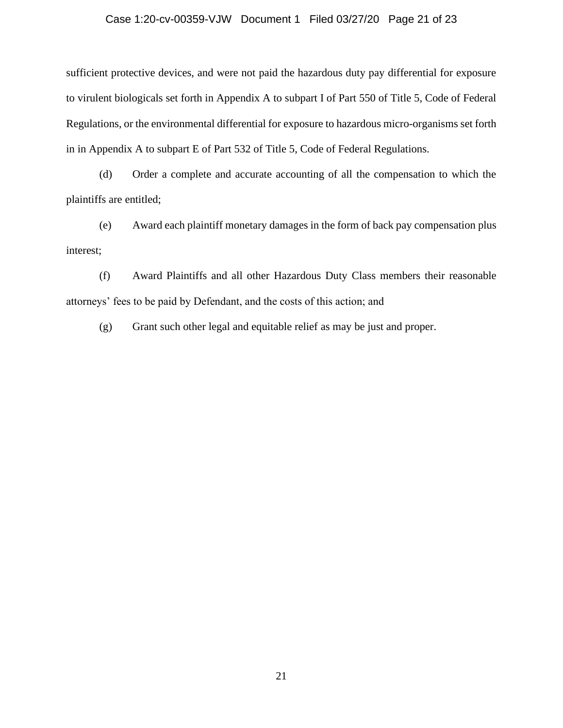### Case 1:20-cv-00359-VJW Document 1 Filed 03/27/20 Page 21 of 23

sufficient protective devices, and were not paid the hazardous duty pay differential for exposure to virulent biologicals set forth in Appendix A to subpart I of Part 550 of Title 5, Code of Federal Regulations, or the environmental differential for exposure to hazardous micro-organisms set forth in in Appendix A to subpart E of Part 532 of Title 5, Code of Federal Regulations.

(d) Order a complete and accurate accounting of all the compensation to which the plaintiffs are entitled;

(e) Award each plaintiff monetary damages in the form of back pay compensation plus interest;

(f) Award Plaintiffs and all other Hazardous Duty Class members their reasonable attorneys' fees to be paid by Defendant, and the costs of this action; and

(g) Grant such other legal and equitable relief as may be just and proper.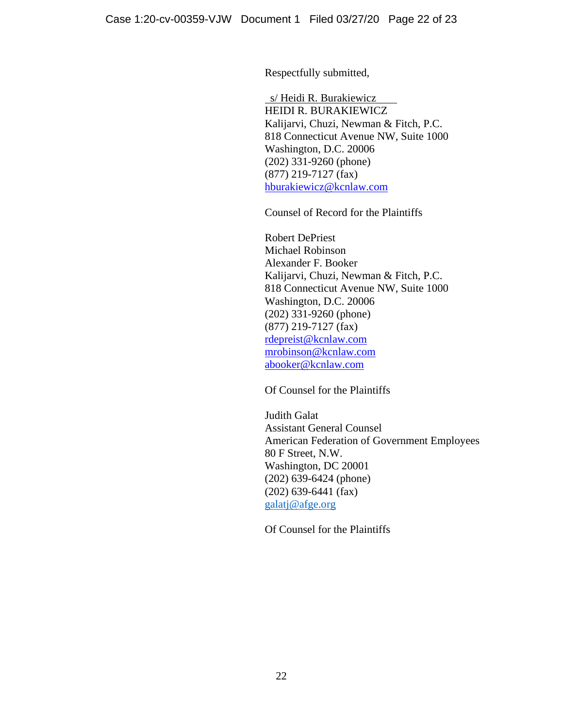Respectfully submitted,

 s/ Heidi R. Burakiewicz HEIDI R. BURAKIEWICZ Kalijarvi, Chuzi, Newman & Fitch, P.C. 818 Connecticut Avenue NW, Suite 1000 Washington, D.C. 20006 (202) 331-9260 (phone) (877) 219-7127 (fax) [hburakiewicz@kcnlaw.com](mailto:hburakiewicz@kcnlaw.com)

Counsel of Record for the Plaintiffs

Robert DePriest Michael Robinson Alexander F. Booker Kalijarvi, Chuzi, Newman & Fitch, P.C. 818 Connecticut Avenue NW, Suite 1000 Washington, D.C. 20006 (202) 331-9260 (phone) (877) 219-7127 (fax) [rdepreist@kcnlaw.com](mailto:rdepreist@kcnlaw.com) [mrobinson@kcnlaw.com](mailto:mrobinson@kcnlaw.com) [abooker@kcnlaw.com](mailto:abooker@kcnlaw.com)

Of Counsel for the Plaintiffs

Judith Galat Assistant General Counsel American Federation of Government Employees 80 F Street, N.W. Washington, DC 20001 (202) 639-6424 (phone) (202) 639-6441 (fax) [galatj@afge.org](mailto:galatj@afge.org)

Of Counsel for the Plaintiffs